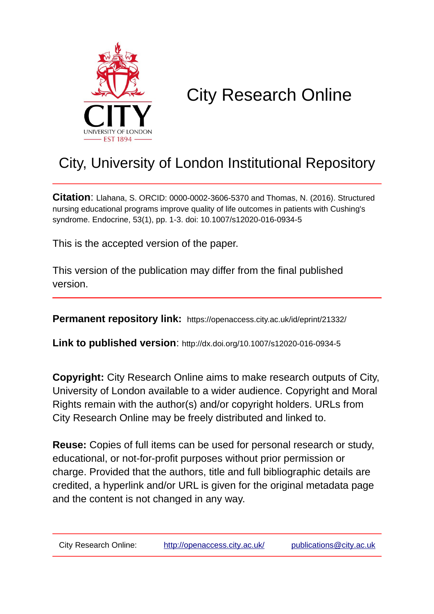

## City Research Online

## City, University of London Institutional Repository

**Citation**: Llahana, S. ORCID: 0000-0002-3606-5370 and Thomas, N. (2016). Structured nursing educational programs improve quality of life outcomes in patients with Cushing's syndrome. Endocrine, 53(1), pp. 1-3. doi: 10.1007/s12020-016-0934-5

This is the accepted version of the paper.

This version of the publication may differ from the final published version.

**Permanent repository link:** https://openaccess.city.ac.uk/id/eprint/21332/

**Link to published version**: http://dx.doi.org/10.1007/s12020-016-0934-5

**Copyright:** City Research Online aims to make research outputs of City, University of London available to a wider audience. Copyright and Moral Rights remain with the author(s) and/or copyright holders. URLs from City Research Online may be freely distributed and linked to.

**Reuse:** Copies of full items can be used for personal research or study, educational, or not-for-profit purposes without prior permission or charge. Provided that the authors, title and full bibliographic details are credited, a hyperlink and/or URL is given for the original metadata page and the content is not changed in any way.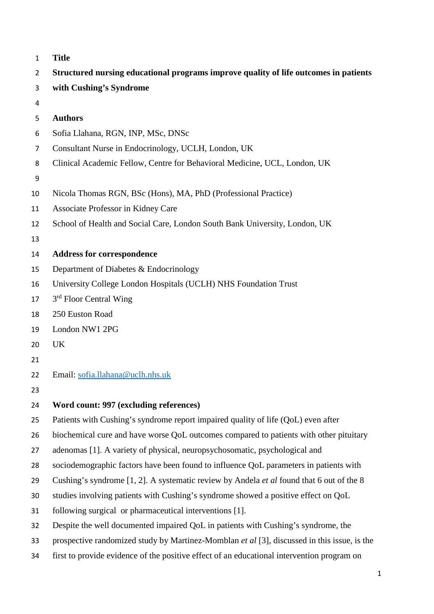| $\mathbf{1}$   | <b>Title</b>                                                                                |  |  |
|----------------|---------------------------------------------------------------------------------------------|--|--|
| $\overline{2}$ | Structured nursing educational programs improve quality of life outcomes in patients        |  |  |
| 3              | with Cushing's Syndrome                                                                     |  |  |
| 4              |                                                                                             |  |  |
| 5              | <b>Authors</b>                                                                              |  |  |
| 6              | Sofia Llahana, RGN, INP, MSc, DNSc                                                          |  |  |
| 7              | Consultant Nurse in Endocrinology, UCLH, London, UK                                         |  |  |
| 8              | Clinical Academic Fellow, Centre for Behavioral Medicine, UCL, London, UK                   |  |  |
| 9              |                                                                                             |  |  |
| 10             | Nicola Thomas RGN, BSc (Hons), MA, PhD (Professional Practice)                              |  |  |
| 11             | Associate Professor in Kidney Care                                                          |  |  |
| 12             | School of Health and Social Care, London South Bank University, London, UK                  |  |  |
| 13             |                                                                                             |  |  |
| 14             | <b>Address for correspondence</b>                                                           |  |  |
| 15             | Department of Diabetes & Endocrinology                                                      |  |  |
| 16             | University College London Hospitals (UCLH) NHS Foundation Trust                             |  |  |
| 17             | 3 <sup>rd</sup> Floor Central Wing                                                          |  |  |
| 18             | 250 Euston Road                                                                             |  |  |
| 19             | London NW1 2PG                                                                              |  |  |
| 20             | <b>UK</b>                                                                                   |  |  |
| 21             |                                                                                             |  |  |
| 22             | Email: sofia.llahana@uclh.nhs.uk                                                            |  |  |
| 23             |                                                                                             |  |  |
| 24             | Word count: 997 (excluding references)                                                      |  |  |
| 25             | Patients with Cushing's syndrome report impaired quality of life (QoL) even after           |  |  |
| 26             | biochemical cure and have worse QoL outcomes compared to patients with other pituitary      |  |  |
| 27             | adenomas [1]. A variety of physical, neuropsychosomatic, psychological and                  |  |  |
| 28             | sociodemographic factors have been found to influence QoL parameters in patients with       |  |  |
| 29             | Cushing's syndrome [1, 2]. A systematic review by Andela et al found that 6 out of the 8    |  |  |
| 30             | studies involving patients with Cushing's syndrome showed a positive effect on QoL          |  |  |
| 31             | following surgical or pharmaceutical interventions [1].                                     |  |  |
| 32             | Despite the well documented impaired QoL in patients with Cushing's syndrome, the           |  |  |
| 33             | prospective randomized study by Martinez-Momblan et al [3], discussed in this issue, is the |  |  |
| 34             | first to provide evidence of the positive effect of an educational intervention program on  |  |  |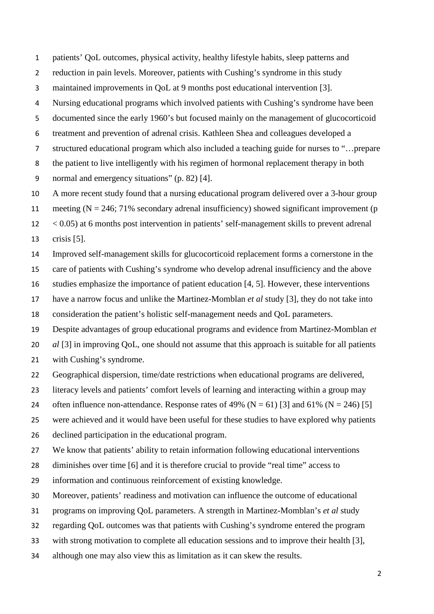patients' QoL outcomes, physical activity, healthy lifestyle habits, sleep patterns and

reduction in pain levels. Moreover, patients with Cushing's syndrome in this study

maintained improvements in QoL at 9 months post educational intervention [3].

Nursing educational programs which involved patients with Cushing's syndrome have been

documented since the early 1960's but focused mainly on the management of glucocorticoid

treatment and prevention of adrenal crisis. Kathleen Shea and colleagues developed a

structured educational program which also included a teaching guide for nurses to "…prepare

the patient to live intelligently with his regimen of hormonal replacement therapy in both

normal and emergency situations" (p. 82) [4].

A more recent study found that a nursing educational program delivered over a 3-hour group

11 meeting  $(N = 246; 71\%$  secondary adrenal insufficiency) showed significant improvement (p

< 0.05) at 6 months post intervention in patients' self-management skills to prevent adrenal

crisis [5].

Improved self-management skills for glucocorticoid replacement forms a cornerstone in the

care of patients with Cushing's syndrome who develop adrenal insufficiency and the above

studies emphasize the importance of patient education [4, 5]. However, these interventions

have a narrow focus and unlike the Martinez-Momblan *et al* study [3], they do not take into

consideration the patient's holistic self-management needs and QoL parameters.

Despite advantages of group educational programs and evidence from Martinez-Momblan *et* 

*al* [3] in improving QoL, one should not assume that this approach is suitable for all patients

- with Cushing's syndrome.
- Geographical dispersion, time/date restrictions when educational programs are delivered,
- literacy levels and patients' comfort levels of learning and interacting within a group may
- 24 often influence non-attendance. Response rates of 49% ( $N = 61$ ) [3] and 61% ( $N = 246$ ) [5]
- were achieved and it would have been useful for these studies to have explored why patients
- declined participation in the educational program.

We know that patients' ability to retain information following educational interventions

diminishes over time [6] and it is therefore crucial to provide "real time" access to

information and continuous reinforcement of existing knowledge.

Moreover, patients' readiness and motivation can influence the outcome of educational

programs on improving QoL parameters. A strength in Martinez-Momblan's *et al* study

regarding QoL outcomes was that patients with Cushing's syndrome entered the program

with strong motivation to complete all education sessions and to improve their health [3],

although one may also view this as limitation as it can skew the results.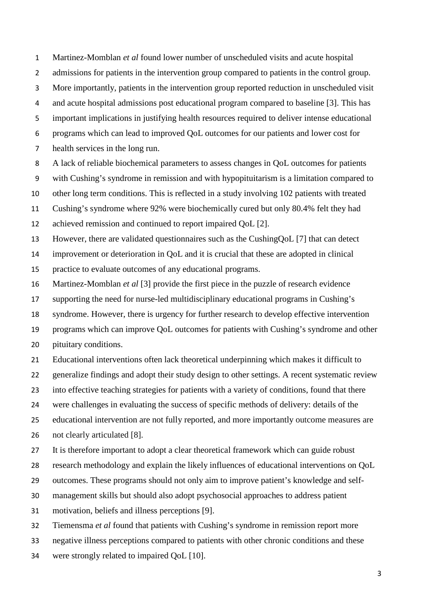Martinez-Momblan *et al* found lower number of unscheduled visits and acute hospital

- 2 admissions for patients in the intervention group compared to patients in the control group.
- More importantly, patients in the intervention group reported reduction in unscheduled visit

and acute hospital admissions post educational program compared to baseline [3]. This has

important implications in justifying health resources required to deliver intense educational

programs which can lead to improved QoL outcomes for our patients and lower cost for

- health services in the long run.
- A lack of reliable biochemical parameters to assess changes in QoL outcomes for patients

with Cushing's syndrome in remission and with hypopituitarism is a limitation compared to

other long term conditions. This is reflected in a study involving 102 patients with treated

Cushing's syndrome where 92% were biochemically cured but only 80.4% felt they had

achieved remission and continued to report impaired QoL [2].

However, there are validated questionnaires such as the CushingQoL [7] that can detect

improvement or deterioration in QoL and it is crucial that these are adopted in clinical

practice to evaluate outcomes of any educational programs.

Martinez-Momblan *et al* [3] provide the first piece in the puzzle of research evidence

supporting the need for nurse-led multidisciplinary educational programs in Cushing's

syndrome. However, there is urgency for further research to develop effective intervention

 programs which can improve QoL outcomes for patients with Cushing's syndrome and other pituitary conditions.

Educational interventions often lack theoretical underpinning which makes it difficult to

generalize findings and adopt their study design to other settings. A recent systematic review

into effective teaching strategies for patients with a variety of conditions, found that there

were challenges in evaluating the success of specific methods of delivery: details of the

educational intervention are not fully reported, and more importantly outcome measures are

26 not clearly articulated [8].

It is therefore important to adopt a clear theoretical framework which can guide robust

research methodology and explain the likely influences of educational interventions on QoL

outcomes. These programs should not only aim to improve patient's knowledge and self-

management skills but should also adopt psychosocial approaches to address patient

motivation, beliefs and illness perceptions [9].

Tiemensma *et al* found that patients with Cushing's syndrome in remission report more

negative illness perceptions compared to patients with other chronic conditions and these

were strongly related to impaired QoL [10].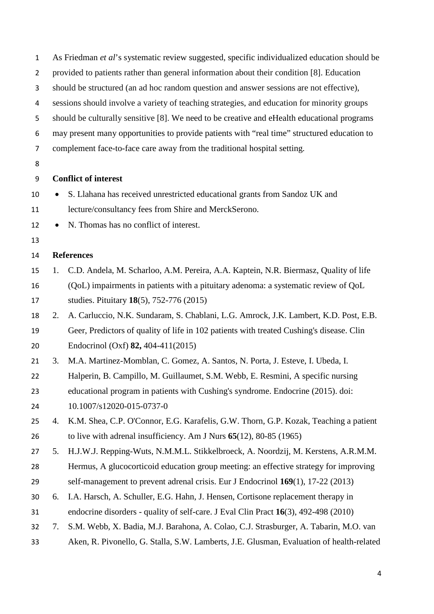| $\mathbf 1$    | As Friedman et al's systematic review suggested, specific individualized education should be |                                                                                          |  |
|----------------|----------------------------------------------------------------------------------------------|------------------------------------------------------------------------------------------|--|
| $\overline{2}$ | provided to patients rather than general information about their condition [8]. Education    |                                                                                          |  |
| 3              | should be structured (an ad hoc random question and answer sessions are not effective),      |                                                                                          |  |
| 4              | sessions should involve a variety of teaching strategies, and education for minority groups  |                                                                                          |  |
| 5              | should be culturally sensitive [8]. We need to be creative and eHealth educational programs  |                                                                                          |  |
| 6              | may present many opportunities to provide patients with "real time" structured education to  |                                                                                          |  |
| $\overline{7}$ | complement face-to-face care away from the traditional hospital setting.                     |                                                                                          |  |
| 8              |                                                                                              |                                                                                          |  |
| 9              | <b>Conflict of interest</b>                                                                  |                                                                                          |  |
| 10             |                                                                                              | S. Llahana has received unrestricted educational grants from Sandoz UK and               |  |
| 11             |                                                                                              | lecture/consultancy fees from Shire and MerckSerono.                                     |  |
| 12             | $\bullet$                                                                                    | N. Thomas has no conflict of interest.                                                   |  |
| 13             |                                                                                              |                                                                                          |  |
| 14             | <b>References</b>                                                                            |                                                                                          |  |
| 15             | 1.                                                                                           | C.D. Andela, M. Scharloo, A.M. Pereira, A.A. Kaptein, N.R. Biermasz, Quality of life     |  |
| 16             |                                                                                              | (QoL) impairments in patients with a pituitary adenoma: a systematic review of QoL       |  |
| 17             |                                                                                              | studies. Pituitary 18(5), 752-776 (2015)                                                 |  |
| 18             | 2.                                                                                           | A. Carluccio, N.K. Sundaram, S. Chablani, L.G. Amrock, J.K. Lambert, K.D. Post, E.B.     |  |
| 19             |                                                                                              | Geer, Predictors of quality of life in 102 patients with treated Cushing's disease. Clin |  |
| 20             |                                                                                              | Endocrinol (Oxf) 82, 404-411(2015)                                                       |  |
| 21             | 3.                                                                                           | M.A. Martinez-Momblan, C. Gomez, A. Santos, N. Porta, J. Esteve, I. Ubeda, I.            |  |
| 22             |                                                                                              | Halperin, B. Campillo, M. Guillaumet, S.M. Webb, E. Resmini, A specific nursing          |  |
| 23             |                                                                                              | educational program in patients with Cushing's syndrome. Endocrine (2015). doi:          |  |
| 24             |                                                                                              | 10.1007/s12020-015-0737-0                                                                |  |
| 25             | 4.                                                                                           | K.M. Shea, C.P. O'Connor, E.G. Karafelis, G.W. Thorn, G.P. Kozak, Teaching a patient     |  |
| 26             |                                                                                              | to live with adrenal insufficiency. Am J Nurs $65(12)$ , 80-85 (1965)                    |  |
| 27             | 5.                                                                                           | H.J.W.J. Repping-Wuts, N.M.M.L. Stikkelbroeck, A. Noordzij, M. Kerstens, A.R.M.M.        |  |
| 28             |                                                                                              | Hermus, A glucocorticoid education group meeting: an effective strategy for improving    |  |
| 29             |                                                                                              | self-management to prevent adrenal crisis. Eur J Endocrinol $169(1)$ , 17-22 (2013)      |  |
| 30             | 6.                                                                                           | I.A. Harsch, A. Schuller, E.G. Hahn, J. Hensen, Cortisone replacement therapy in         |  |
| 31             |                                                                                              | endocrine disorders - quality of self-care. J Eval Clin Pract 16(3), 492-498 (2010)      |  |
| 32             | 7.                                                                                           | S.M. Webb, X. Badia, M.J. Barahona, A. Colao, C.J. Strasburger, A. Tabarin, M.O. van     |  |
| 33             |                                                                                              | Aken, R. Pivonello, G. Stalla, S.W. Lamberts, J.E. Glusman, Evaluation of health-related |  |
|                |                                                                                              |                                                                                          |  |